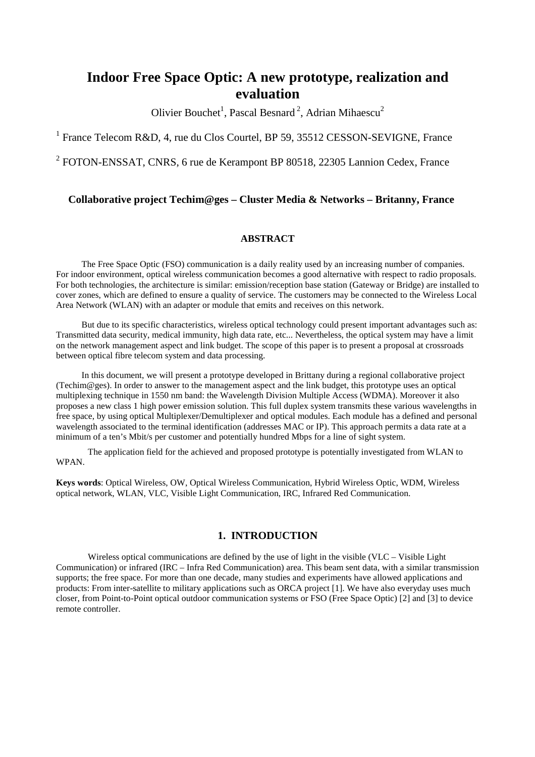# **Indoor Free Space Optic: A new prototype, realization and evaluation**

Olivier Bouchet<sup>1</sup>, Pascal Besnard<sup>2</sup>, Adrian Mihaescu<sup>2</sup>

<sup>1</sup> France Telecom R&D, 4, rue du Clos Courtel, BP 59, 35512 CESSON-SEVIGNE, France

<sup>2</sup> FOTON-ENSSAT, CNRS, 6 rue de Kerampont BP 80518, 22305 Lannion Cedex, France

## **Collaborative project Techim@ges – Cluster Media & Networks – Britanny, France**

### **ABSTRACT**

The Free Space Optic (FSO) communication is a daily reality used by an increasing number of companies. For indoor environment, optical wireless communication becomes a good alternative with respect to radio proposals. For both technologies, the architecture is similar: emission/reception base station (Gateway or Bridge) are installed to cover zones, which are defined to ensure a quality of service. The customers may be connected to the Wireless Local Area Network (WLAN) with an adapter or module that emits and receives on this network.

But due to its specific characteristics, wireless optical technology could present important advantages such as: Transmitted data security, medical immunity, high data rate, etc... Nevertheless, the optical system may have a limit on the network management aspect and link budget. The scope of this paper is to present a proposal at crossroads between optical fibre telecom system and data processing.

In this document, we will present a prototype developed in Brittany during a regional collaborative project (Techim@ges). In order to answer to the management aspect and the link budget, this prototype uses an optical multiplexing technique in 1550 nm band: the Wavelength Division Multiple Access (WDMA). Moreover it also proposes a new class 1 high power emission solution. This full duplex system transmits these various wavelengths in free space, by using optical Multiplexer/Demultiplexer and optical modules. Each module has a defined and personal wavelength associated to the terminal identification (addresses MAC or IP). This approach permits a data rate at a minimum of a ten's Mbit/s per customer and potentially hundred Mbps for a line of sight system.

The application field for the achieved and proposed prototype is potentially investigated from WLAN to WPAN.

**Keys words**: Optical Wireless, OW, Optical Wireless Communication, Hybrid Wireless Optic, WDM, Wireless optical network, WLAN, VLC, Visible Light Communication, IRC, Infrared Red Communication.

## **1. INTRODUCTION**

Wireless optical communications are defined by the use of light in the visible (VLC – Visible Light Communication) or infrared (IRC – Infra Red Communication) area. This beam sent data, with a similar transmission supports; the free space. For more than one decade, many studies and experiments have allowed applications and products: From inter-satellite to military applications such as ORCA project [1]. We have also everyday uses much closer, from Point-to-Point optical outdoor communication systems or FSO (Free Space Optic) [2] and [3] to device remote controller.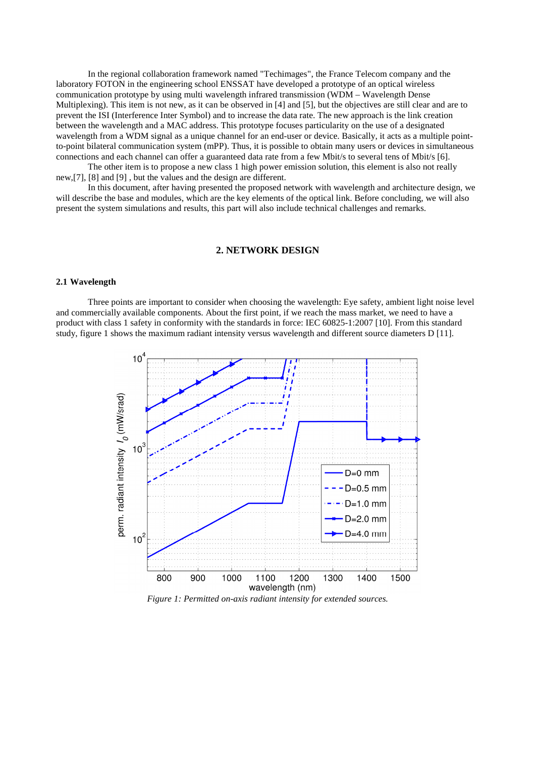In the regional collaboration framework named "Techimages", the France Telecom company and the laboratory FOTON in the engineering school ENSSAT have developed a prototype of an optical wireless communication prototype by using multi wavelength infrared transmission (WDM – Wavelength Dense Multiplexing). This item is not new, as it can be observed in [4] and [5], but the objectives are still clear and are to prevent the ISI (Interference Inter Symbol) and to increase the data rate. The new approach is the link creation between the wavelength and a MAC address. This prototype focuses particularity on the use of a designated wavelength from a WDM signal as a unique channel for an end-user or device. Basically, it acts as a multiple pointto-point bilateral communication system (mPP). Thus, it is possible to obtain many users or devices in simultaneous connections and each channel can offer a guaranteed data rate from a few Mbit/s to several tens of Mbit/s [6].

The other item is to propose a new class 1 high power emission solution, this element is also not really new,[7], [8] and [9] , but the values and the design are different.

In this document, after having presented the proposed network with wavelength and architecture design, we will describe the base and modules, which are the key elements of the optical link. Before concluding, we will also present the system simulations and results, this part will also include technical challenges and remarks.

#### **2. NETWORK DESIGN**

#### **2.1 Wavelength**

Three points are important to consider when choosing the wavelength: Eye safety, ambient light noise level and commercially available components. About the first point, if we reach the mass market, we need to have a product with class 1 safety in conformity with the standards in force: IEC 60825-1:2007 [10]. From this standard study, figure 1 shows the maximum radiant intensity versus wavelength and different source diameters D [11].



*Figure 1: Permitted on-axis radiant intensity for extended sources.*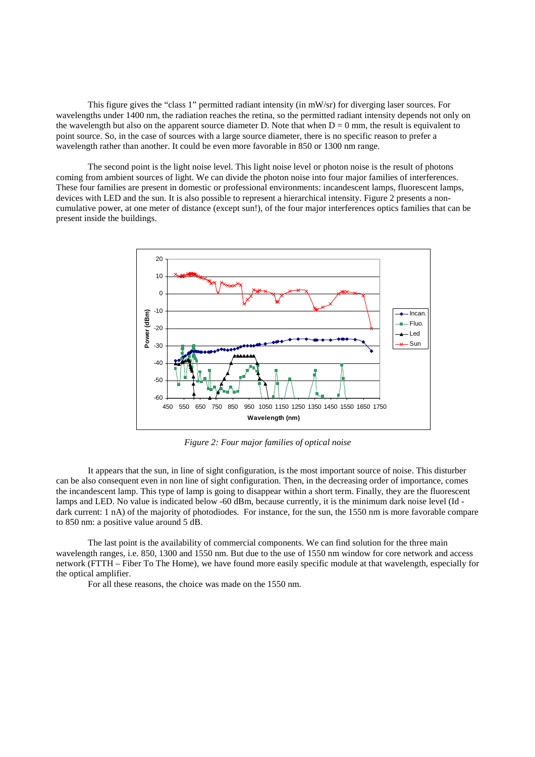This figure gives the "class 1" permitted radiant intensity (in mW/sr) for diverging laser sources. For wavelengths under 1400 nm, the radiation reaches the retina, so the permitted radiant intensity depends not only on the wavelength but also on the apparent source diameter D. Note that when  $D = 0$  mm, the result is equivalent to point source. So, in the case of sources with a large source diameter, there is no specific reason to prefer a wavelength rather than another. It could be even more favorable in 850 or 1300 nm range.

The second point is the light noise level. This light noise level or photon noise is the result of photons coming from ambient sources of light. We can divide the photon noise into four major families of interferences. These four families are present in domestic or professional environments: incandescent lamps, fluorescent lamps, devices with LED and the sun. It is also possible to represent a hierarchical intensity. Figure 2 presents a noncumulative power, at one meter of distance (except sun!), of the four major interferences optics families that can be present inside the buildings.



*Figure 2: Four major families of optical noise* 

It appears that the sun, in line of sight configuration, is the most important source of noise. This disturber can be also consequent even in non line of sight configuration. Then, in the decreasing order of importance, comes the incandescent lamp. This type of lamp is going to disappear within a short term. Finally, they are the fluorescent lamps and LED. No value is indicated below -60 dBm, because currently, it is the minimum dark noise level (Id dark current: 1 nA) of the majority of photodiodes. For instance, for the sun, the 1550 nm is more favorable compare to 850 nm: a positive value around 5 dB.

The last point is the availability of commercial components. We can find solution for the three main wavelength ranges, i.e. 850, 1300 and 1550 nm. But due to the use of 1550 nm window for core network and access network (FTTH – Fiber To The Home), we have found more easily specific module at that wavelength, especially for the optical amplifier.

For all these reasons, the choice was made on the 1550 nm.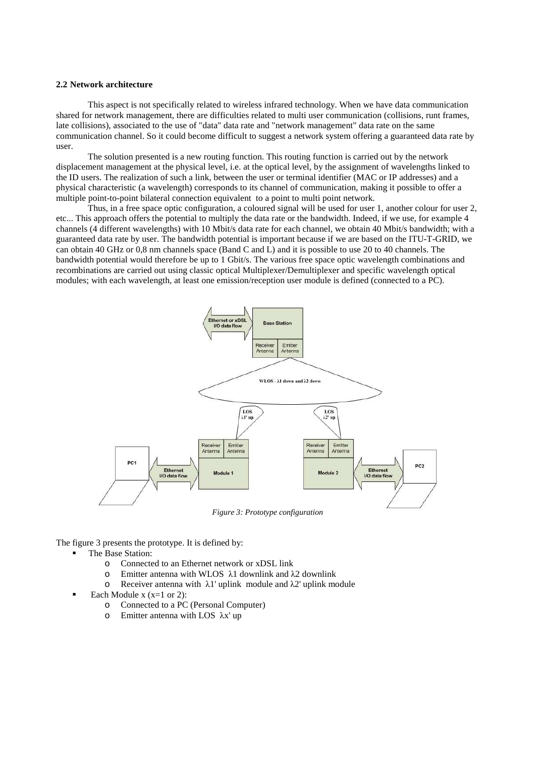#### **2.2 Network architecture**

This aspect is not specifically related to wireless infrared technology. When we have data communication shared for network management, there are difficulties related to multi user communication (collisions, runt frames, late collisions), associated to the use of "data" data rate and "network management" data rate on the same communication channel. So it could become difficult to suggest a network system offering a guaranteed data rate by user.

The solution presented is a new routing function. This routing function is carried out by the network displacement management at the physical level, i.e. at the optical level, by the assignment of wavelengths linked to the ID users. The realization of such a link, between the user or terminal identifier (MAC or IP addresses) and a physical characteristic (a wavelength) corresponds to its channel of communication, making it possible to offer a multiple point-to-point bilateral connection equivalent to a point to multi point network.

Thus, in a free space optic configuration, a coloured signal will be used for user 1, another colour for user 2, etc... This approach offers the potential to multiply the data rate or the bandwidth. Indeed, if we use, for example 4 channels (4 different wavelengths) with 10 Mbit/s data rate for each channel, we obtain 40 Mbit/s bandwidth; with a guaranteed data rate by user. The bandwidth potential is important because if we are based on the ITU-T-GRID, we can obtain 40 GHz or 0,8 nm channels space (Band C and L) and it is possible to use 20 to 40 channels. The bandwidth potential would therefore be up to 1 Gbit/s. The various free space optic wavelength combinations and recombinations are carried out using classic optical Multiplexer/Demultiplexer and specific wavelength optical modules; with each wavelength, at least one emission/reception user module is defined (connected to a PC).



*Figure 3: Prototype configuration*

The figure 3 presents the prototype. It is defined by:

- The Base Station:
	- o Connected to an Ethernet network or xDSL link
	- o Emitter antenna with WLOS λ1 downlink and λ2 downlink
	- o Receiver antenna with λ1' uplink module and λ2' uplink module
	- Each Module  $x$  ( $x=1$  or 2):
		- o Connected to a PC (Personal Computer)
		- o Emitter antenna with LOS λx' up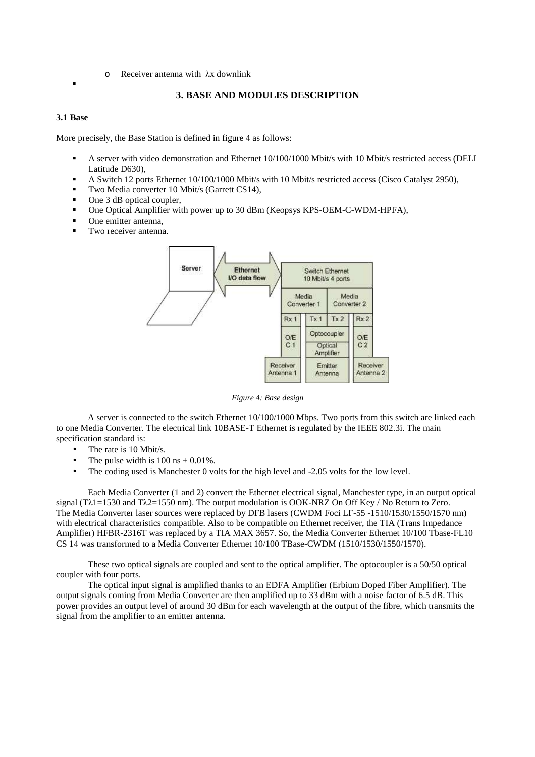o Receiver antenna with λx downlink

## **3. BASE AND MODULES DESCRIPTION**

### **3.1 Base**

.

More precisely, the Base Station is defined in figure 4 as follows:

- A server with video demonstration and Ethernet 10/100/1000 Mbit/s with 10 Mbit/s restricted access (DELL Latitude D630),
- A Switch 12 ports Ethernet 10/100/1000 Mbit/s with 10 Mbit/s restricted access (Cisco Catalyst 2950),
- Two Media converter 10 Mbit/s (Garrett CS14),
- One 3 dB optical coupler,
- One Optical Amplifier with power up to 30 dBm (Keopsys KPS-OEM-C-WDM-HPFA),
- One emitter antenna,
- Two receiver antenna.



*Figure 4: Base design*

A server is connected to the switch Ethernet 10/100/1000 Mbps. Two ports from this switch are linked each to one Media Converter. The electrical link 10BASE-T Ethernet is regulated by the IEEE 802.3i. The main specification standard is:

- The rate is 10 Mbit/s.
- The pulse width is  $100 \text{ ns } \pm 0.01\%$ .
- The coding used is Manchester 0 volts for the high level and -2.05 volts for the low level.

Each Media Converter (1 and 2) convert the Ethernet electrical signal, Manchester type, in an output optical signal (Tλ1=1530 and Tλ2=1550 nm). The output modulation is OOK-NRZ On Off Key / No Return to Zero. The Media Converter laser sources were replaced by DFB lasers (CWDM Foci LF-55 -1510/1530/1550/1570 nm) with electrical characteristics compatible. Also to be compatible on Ethernet receiver, the TIA (Trans Impedance Amplifier) HFBR-2316T was replaced by a TIA MAX 3657. So, the Media Converter Ethernet 10/100 Tbase-FL10 CS 14 was transformed to a Media Converter Ethernet 10/100 TBase-CWDM (1510/1530/1550/1570).

These two optical signals are coupled and sent to the optical amplifier. The optocoupler is a 50/50 optical coupler with four ports.

The optical input signal is amplified thanks to an EDFA Amplifier (Erbium Doped Fiber Amplifier). The output signals coming from Media Converter are then amplified up to 33 dBm with a noise factor of 6.5 dB. This power provides an output level of around 30 dBm for each wavelength at the output of the fibre, which transmits the signal from the amplifier to an emitter antenna.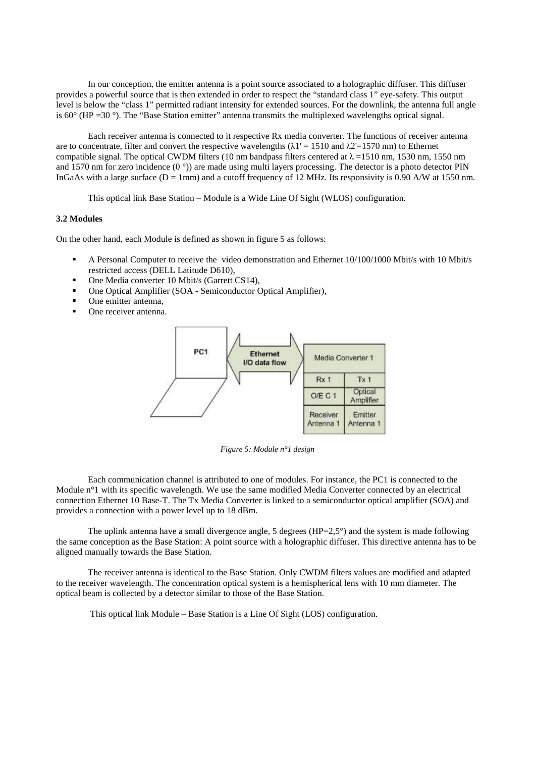In our conception, the emitter antenna is a point source associated to a holographic diffuser. This diffuser provides a powerful source that is then extended in order to respect the "standard class 1" eye-safety. This output level is below the "class 1" permitted radiant intensity for extended sources. For the downlink, the antenna full angle is 60° (HP =30 °). The "Base Station emitter" antenna transmits the multiplexed wavelengths optical signal.

Each receiver antenna is connected to it respective Rx media converter. The functions of receiver antenna are to concentrate, filter and convert the respective wavelengths  $(\lambda 1' = 1510$  and  $\lambda 2' = 1570$  nm) to Ethernet compatible signal. The optical CWDM filters (10 nm bandpass filters centered at  $\lambda = 1510$  nm, 1530 nm, 1550 nm and 1570 nm for zero incidence (0 $^{\circ}$ )) are made using multi layers processing. The detector is a photo detector PIN InGaAs with a large surface ( $D = 1$ mm) and a cutoff frequency of 12 MHz. Its responsivity is 0.90 A/W at 1550 nm.

This optical link Base Station – Module is a Wide Line Of Sight (WLOS) configuration.

#### **3.2 Modules**

On the other hand, each Module is defined as shown in figure 5 as follows:

- A Personal Computer to receive the video demonstration and Ethernet 10/100/1000 Mbit/s with 10 Mbit/s restricted access (DELL Latitude D610),
- One Media converter 10 Mbit/s (Garrett CS14),
- One Optical Amplifier (SOA Semiconductor Optical Amplifier),
- One emitter antenna,
- One receiver antenna.



*Figure 5: Module n°1 design*

Each communication channel is attributed to one of modules. For instance, the PC1 is connected to the Module n<sup>o</sup>1 with its specific wavelength. We use the same modified Media Converter connected by an electrical connection Ethernet 10 Base-T. The Tx Media Converter is linked to a semiconductor optical amplifier (SOA) and provides a connection with a power level up to 18 dBm.

The uplink antenna have a small divergence angle, 5 degrees  $(HP=2,5^{\circ})$  and the system is made following the same conception as the Base Station: A point source with a holographic diffuser. This directive antenna has to be aligned manually towards the Base Station.

The receiver antenna is identical to the Base Station. Only CWDM filters values are modified and adapted to the receiver wavelength. The concentration optical system is a hemispherical lens with 10 mm diameter. The optical beam is collected by a detector similar to those of the Base Station.

This optical link Module – Base Station is a Line Of Sight (LOS) configuration.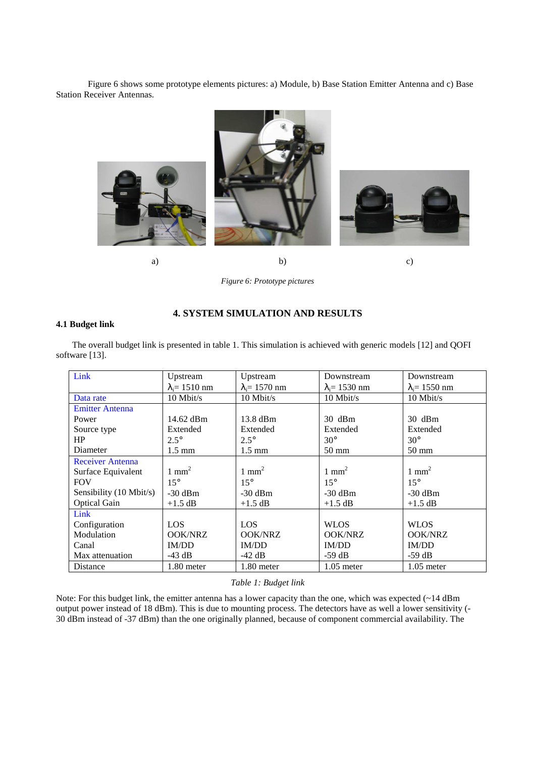Figure 6 shows some prototype elements pictures: a) Module, b) Base Station Emitter Antenna and c) Base Station Receiver Antennas.



*Figure 6: Prototype pictures*

# **4. SYSTEM SIMULATION AND RESULTS**

## **4.1 Budget link**

The overall budget link is presented in table 1. This simulation is achieved with generic models [12] and QOFI software [13].

| Link                    | Upstream              | Upstream            | Downstream            | Downstream            |
|-------------------------|-----------------------|---------------------|-----------------------|-----------------------|
|                         | $\lambda_i = 1510$ nm | $\lambda$ = 1570 nm | $\lambda_i = 1530$ nm | $\lambda_i = 1550$ nm |
| Data rate               | $10$ Mbit/s           | $10$ Mbit/s         | $10$ Mbit/s           | $10$ Mbit/s           |
| <b>Emitter Antenna</b>  |                       |                     |                       |                       |
| Power                   | 14.62 dBm             | $13.8$ dBm          | $30 \text{ dBm}$      | $30 \text{ dBm}$      |
| Source type             | Extended              | Extended            | Extended              | Extended              |
| HP                      | $2.5^\circ$           | $2.5^\circ$         | $30^\circ$            | $30^\circ$            |
| Diameter                | $1.5 \text{ mm}$      | $1.5 \text{ mm}$    | $50 \text{ mm}$       | $50 \text{ mm}$       |
| <b>Receiver Antenna</b> |                       |                     |                       |                       |
| Surface Equivalent      | $1 \text{ mm}^2$      | $1 \text{ mm}^2$    | $1 \text{ mm}^2$      | $1 \text{ mm}^2$      |
| <b>FOV</b>              | $15^{\circ}$          | $15^{\circ}$        | $15^{\circ}$          | $15^{\circ}$          |
| Sensibility (10 Mbit/s) | $-30$ dBm             | $-30$ dBm           | $-30$ dBm             | $-30$ dBm             |
| <b>Optical Gain</b>     | $+1.5$ dB             | $+1.5$ dB           | $+1.5$ dB             | $+1.5$ dB             |
| Link                    |                       |                     |                       |                       |
| Configuration           | <b>LOS</b>            | <b>LOS</b>          | <b>WLOS</b>           | <b>WLOS</b>           |
| Modulation              | OOK/NRZ               | OOK/NRZ             | OOK/NRZ               | <b>OOK/NRZ</b>        |
| Canal                   | IM/DD                 | <b>IM/DD</b>        | <b>IM/DD</b>          | <b>IM/DD</b>          |
| Max attenuation         | $-43$ dB              | $-42$ dB            | $-59$ dB              | $-59$ dB              |
| Distance                | 1.80 meter            | 1.80 meter          | $1.05$ meter          | $1.05$ meter          |

*Table 1: Budget link* 

Note: For this budget link, the emitter antenna has a lower capacity than the one, which was expected (~14 dBm output power instead of 18 dBm). This is due to mounting process. The detectors have as well a lower sensitivity (- 30 dBm instead of -37 dBm) than the one originally planned, because of component commercial availability. The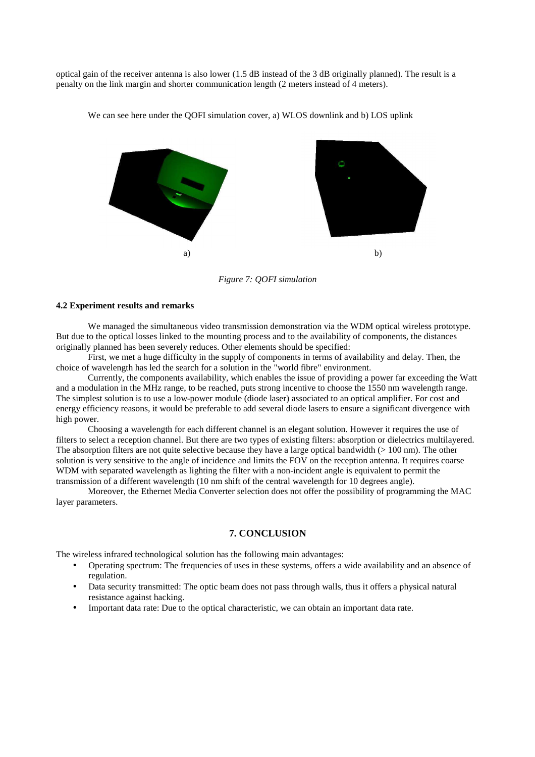optical gain of the receiver antenna is also lower (1.5 dB instead of the 3 dB originally planned). The result is a penalty on the link margin and shorter communication length (2 meters instead of 4 meters).

a) b)

We can see here under the OOFI simulation cover, a) WLOS downlink and b) LOS uplink

*Figure 7: QOFI simulation* 

#### **4.2 Experiment results and remarks**

We managed the simultaneous video transmission demonstration via the WDM optical wireless prototype. But due to the optical losses linked to the mounting process and to the availability of components, the distances originally planned has been severely reduces. Other elements should be specified:

First, we met a huge difficulty in the supply of components in terms of availability and delay. Then, the choice of wavelength has led the search for a solution in the "world fibre" environment.

Currently, the components availability, which enables the issue of providing a power far exceeding the Watt and a modulation in the MHz range, to be reached, puts strong incentive to choose the 1550 nm wavelength range. The simplest solution is to use a low-power module (diode laser) associated to an optical amplifier. For cost and energy efficiency reasons, it would be preferable to add several diode lasers to ensure a significant divergence with high power.

Choosing a wavelength for each different channel is an elegant solution. However it requires the use of filters to select a reception channel. But there are two types of existing filters: absorption or dielectrics multilayered. The absorption filters are not quite selective because they have a large optical bandwidth (> 100 nm). The other solution is very sensitive to the angle of incidence and limits the FOV on the reception antenna. It requires coarse WDM with separated wavelength as lighting the filter with a non-incident angle is equivalent to permit the transmission of a different wavelength (10 nm shift of the central wavelength for 10 degrees angle).

Moreover, the Ethernet Media Converter selection does not offer the possibility of programming the MAC layer parameters.

#### **7. CONCLUSION**

The wireless infrared technological solution has the following main advantages:

- Operating spectrum: The frequencies of uses in these systems, offers a wide availability and an absence of regulation.
- Data security transmitted: The optic beam does not pass through walls, thus it offers a physical natural resistance against hacking.
- Important data rate: Due to the optical characteristic, we can obtain an important data rate.